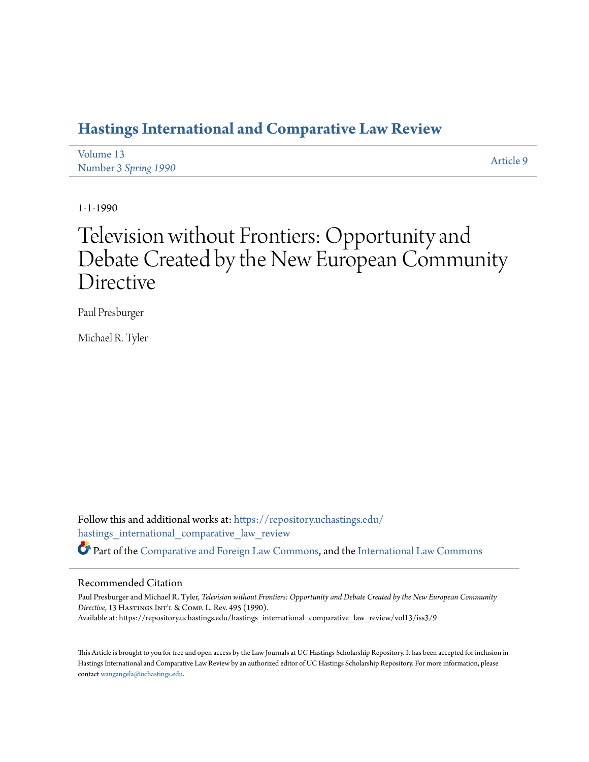# **[Hastings International and Comparative Law Review](https://repository.uchastings.edu/hastings_international_comparative_law_review?utm_source=repository.uchastings.edu%2Fhastings_international_comparative_law_review%2Fvol13%2Fiss3%2F9&utm_medium=PDF&utm_campaign=PDFCoverPages)**

| Volume 13            | Article 9 |
|----------------------|-----------|
| Number 3 Spring 1990 |           |

1-1-1990

# Television without Frontiers: Opportunity and Debate Created by the New European Community Directive

Paul Presburger

Michael R. Tyler

Follow this and additional works at: [https://repository.uchastings.edu/](https://repository.uchastings.edu/hastings_international_comparative_law_review?utm_source=repository.uchastings.edu%2Fhastings_international_comparative_law_review%2Fvol13%2Fiss3%2F9&utm_medium=PDF&utm_campaign=PDFCoverPages) [hastings\\_international\\_comparative\\_law\\_review](https://repository.uchastings.edu/hastings_international_comparative_law_review?utm_source=repository.uchastings.edu%2Fhastings_international_comparative_law_review%2Fvol13%2Fiss3%2F9&utm_medium=PDF&utm_campaign=PDFCoverPages) Part of the [Comparative and Foreign Law Commons](http://network.bepress.com/hgg/discipline/836?utm_source=repository.uchastings.edu%2Fhastings_international_comparative_law_review%2Fvol13%2Fiss3%2F9&utm_medium=PDF&utm_campaign=PDFCoverPages), and the [International Law Commons](http://network.bepress.com/hgg/discipline/609?utm_source=repository.uchastings.edu%2Fhastings_international_comparative_law_review%2Fvol13%2Fiss3%2F9&utm_medium=PDF&utm_campaign=PDFCoverPages)

# Recommended Citation

Paul Presburger and Michael R. Tyler, *Television without Frontiers: Opportunity and Debate Created by the New European Community Directive*, 13 HastingsInt'l & Comp. L. Rev. 495 (1990). Available at: https://repository.uchastings.edu/hastings\_international\_comparative\_law\_review/vol13/iss3/9

This Article is brought to you for free and open access by the Law Journals at UC Hastings Scholarship Repository. It has been accepted for inclusion in Hastings International and Comparative Law Review by an authorized editor of UC Hastings Scholarship Repository. For more information, please contact [wangangela@uchastings.edu](mailto:wangangela@uchastings.edu).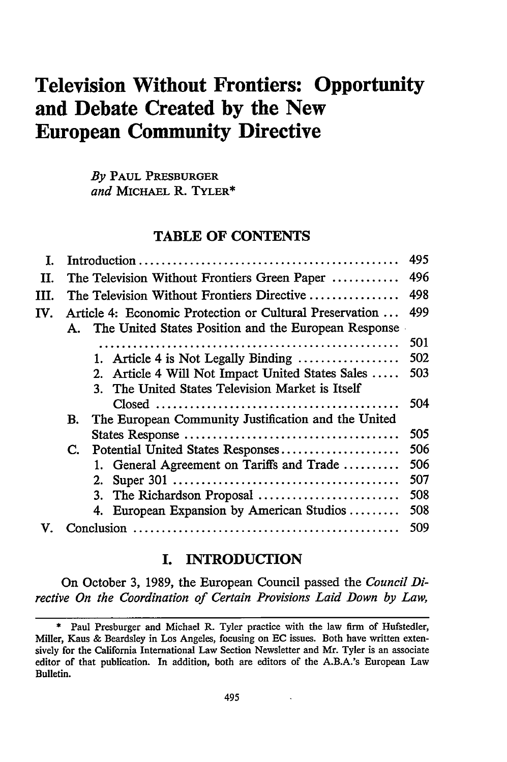# **Television Without Frontiers: Opportunity and Debate Created by the New European Community Directive**

*By* **PAUL PRESBURGER** *and* **MICHAEL R. TYLER\***

## **TABLE OF CONTENTS**

| I.   |                                                                                                                    | 495 |
|------|--------------------------------------------------------------------------------------------------------------------|-----|
| H.   | The Television Without Frontiers Green Paper                                                                       | 496 |
| III. | The Television Without Frontiers Directive                                                                         | 498 |
| IV.  | Article 4: Economic Protection or Cultural Preservation<br>A. The United States Position and the European Response | 499 |
|      |                                                                                                                    | 501 |
|      | 1. Article 4 is Not Legally Binding $\dots\dots\dots\dots\dots\dots$                                               | 502 |
|      | 2. Article 4 Will Not Impact United States Sales                                                                   | 503 |
|      | 3. The United States Television Market is Itself                                                                   |     |
|      |                                                                                                                    | 504 |
|      | The European Community Justification and the United<br>В.                                                          |     |
|      |                                                                                                                    | 505 |
|      | Potential United States Responses<br>$\mathbf{C}$ .                                                                | 506 |
|      | 1. General Agreement on Tariffs and Trade                                                                          | 506 |
|      |                                                                                                                    | 507 |
|      | 3. The Richardson Proposal                                                                                         | 508 |
|      | 4. European Expansion by American Studios                                                                          | 508 |
|      |                                                                                                                    | 509 |

#### I. INTRODUCTION

On October 3, 1989, the European Council passed the *Council Directive On the Coordination of Certain Provisions Laid Down by Law,*

 $\ddot{\phantom{a}}$ 

<sup>\*</sup> Paul Presburger and Michael R. Tyler practice with the law firm of Hufstedler, Miller, Kaus & Beardsley in Los Angeles, focusing on **EC** issues. Both have written extensively for the California International Law Section Newsletter and Mr. Tyler is an associate editor of that publication. In addition, both are editors of the A.B.A.'s European Law Bulletin.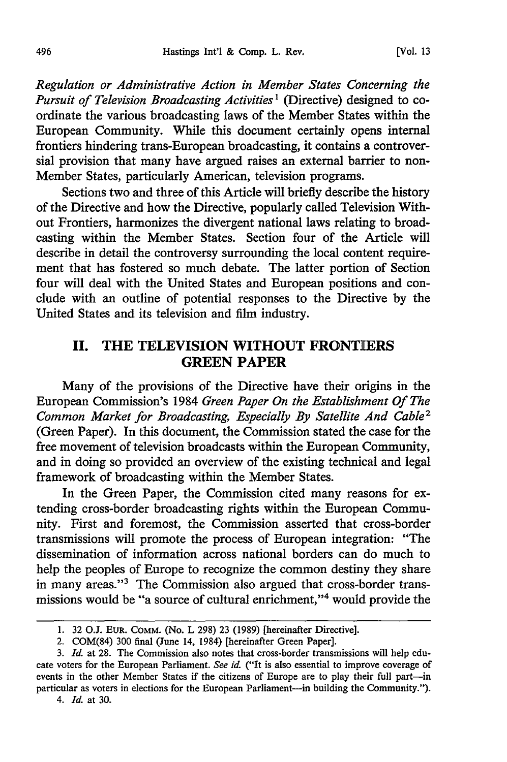*Regulation or Administrative Action in Member States Concerning the Pursuit of Television Broadcasting Activities1* (Directive) designed to coordinate the various broadcasting laws of the Member States within the European Community. While this document certainly opens internal frontiers hindering trans-European broadcasting, it contains a controversial provision that many have argued raises an external barrier to non-Member States, particularly American, television programs.

Sections two and three of this Article will briefly describe the history of the Directive and how the Directive, popularly called Television Without Frontiers, harmonizes the divergent national laws relating to broadcasting within the Member States. Section four of the Article will describe in detail the controversy surrounding the local content requirement that has fostered so much debate. The latter portion of Section four will deal with the United States and European positions and conclude with an outline of potential responses to the Directive by the United States and its television and film industry.

# **II. THE TELEVISION WITHOUT FRONTIERS GREEN PAPER**

Many of the provisions of the Directive have their origins in the European Commission's 1984 *Green Paper On the Establishment Of The Common Market for Broadcasting, Especially By Satellite And Cable2* (Green Paper). In this document, the Commission stated the case for the free movement of television broadcasts within the European Community, and in doing so provided an overview of the existing technical and legal framework of broadcasting within the Member States.

In the Green Paper, the Commission cited many reasons for extending cross-border broadcasting rights within the European Community. First and foremost, the Commission asserted that cross-border transmissions will promote the process of European integration: "The dissemination of information across national borders can do much to help the peoples of Europe to recognize the common destiny they share in many areas."<sup>3</sup> The Commission also argued that cross-border transmissions would be "a source of cultural enrichment,"<sup>4</sup> would provide the

<sup>1. 32</sup> O.J. EUR. COMM. (No. L 298) 23 (1989) [hereinafter Directive].

<sup>2.</sup> COM(84) 300 final (June 14, 1984) [hereinafter Green Paper].

*<sup>3.</sup> Id.* at 28. The Commission also notes that cross-border transmissions will help educate voters for the European Parliament. *See id.* ("It is also essential to improve coverage of events in the other Member States if the citizens of Europe are to play their full part-in particular as voters in elections for the European Parliament-in building the Community.").

*<sup>4.</sup> Id.* at 30.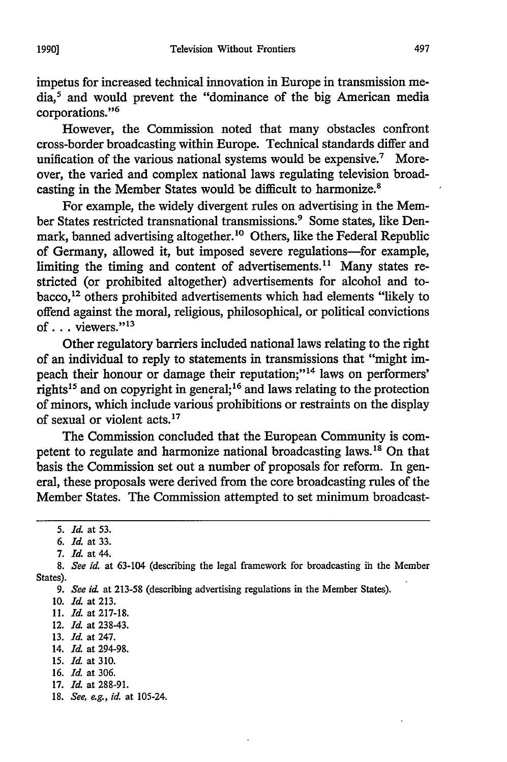impetus for increased technical innovation in Europe in transmission media,5 and would prevent the "dominance of the big American media corporations."<sup>6</sup>

However, the Commission noted that many obstacles confront cross-border broadcasting within Europe. Technical standards differ and unification of the various national systems would be expensive.<sup>7</sup> Moreover, the varied and complex national laws regulating television broadcasting in the Member States would be difficult to harmonize.<sup>8</sup>

For example, the widely divergent rules on advertising in the Member States restricted transnational transmissions.<sup>9</sup> Some states, like Denmark, banned advertising altogether.<sup>10</sup> Others, like the Federal Republic of Germany, allowed it, but imposed severe regulations-for example, limiting the timing and content of advertisements.<sup>11</sup> Many states restricted (or prohibited altogether) advertisements for alcohol and tobacco,12 others prohibited advertisements which had elements "likely to offend against the moral, religious, philosophical, or political convictions of . . . viewers."<sup>13</sup>

Other regulatory barriers included national laws relating to the right of an individual to reply to statements in transmissions that "might impeach their honour or damage their reputation;"<sup>14</sup> laws on performers' rights<sup>15</sup> and on copyright in general;<sup>16</sup> and laws relating to the protection of minors, which include various prohibitions or restraints on the display of sexual or violent acts. **<sup>17</sup>**

The Commission concluded that the European Community is competent to regulate and harmonize national broadcasting laws.1" On that basis the Commission set out a number of proposals for reform. In general, these proposals were derived from the core broadcasting rules of the Member States. The Commission attempted to set minimum broadcast-

- 11. *Id.* at 217-18.
- 12. *Id* at 238-43.
- 13. *Id.* at 247.
- 14. *Id.* at 294-98.
- 15. *Id.* at 310.
- **16.** *Id* at 306.
- 17. *Id.* at 288-91.
- 18. *See, e.g., id.* at 105-24.

*<sup>5.</sup> Id.* at 53.

*<sup>6.</sup> Id.* at 33.

*<sup>7.</sup> Id.* at 44.

<sup>8.</sup> *See id.* at 63-104 (describing the legal framework for broadcasting ih the Member States).

<sup>9.</sup> See id. at 213-58 (describing advertising regulations in the Member States).

<sup>10.</sup> *Id.* at 213.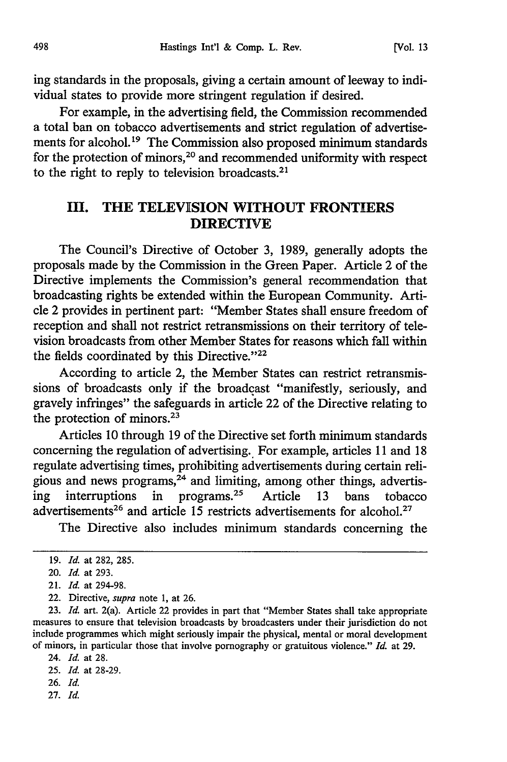ing standards in the proposals, giving a certain amount of leeway to individual states to provide more stringent regulation if desired.

For example, in the advertising field, the Commission recommended a total ban on tobacco advertisements and strict regulation of advertisements for alcohol.<sup>19</sup> The Commission also proposed minimum standards for the protection of minors,<sup>20</sup> and recommended uniformity with respect to the right to reply to television broadcasts. $21$ 

# III. **THE** TELEVISION WITHOUT FRONTIERS **DIRECTIVE**

The Council's Directive of October 3, 1989, generally adopts the proposals made by the Commission in the Green Paper. Article 2 of the Directive implements the Commission's general recommendation that broadcasting rights be extended within the European Community. Article 2 provides in pertinent part: "Member States shall ensure freedom of reception and shall not restrict retransmissions on their territory of television broadcasts from other Member States for reasons which fall within the fields coordinated by this Directive."<sup>22</sup>

According to article 2, the Member States can restrict retransmissions of broadcasts only if the broadcast "manifestly, seriously, and gravely infringes" the safeguards in article 22 of the Directive relating to the protection of minors. $2^3$ 

Articles 10 through **19** of the Directive set forth minimum standards concerning the regulation of advertising., For example, articles **11** and 18 regulate advertising times, prohibiting advertisements during certain religious and news programs, $24$  and limiting, among other things, advertising interruptions in programs.<sup>25</sup> Article 13 bans tobacco advertisements<sup>26</sup> and article 15 restricts advertisements for alcohol.<sup>27</sup>

The Directive also includes minimum standards concerning the

- 26. *Id.*
- 27. *Id.*

<sup>19.</sup> *Id.* at 282, 285.

<sup>20.</sup> *Id.* at 293.

<sup>21.</sup> *Id.* at 294-98.

<sup>22.</sup> Directive, *supra* note 1, at 26.

<sup>23.</sup> *Id.* art. 2(a). Article 22 provides in part that "Member States shall take appropriate measures to ensure that television broadcasts by broadcasters under their jurisdiction do not include programmes which might seriously impair the physical, mental or moral development of minors, in particular those that involve pornography or gratuitous violence." *Id.* at 29.

<sup>24.</sup> *Id.* at 28.

<sup>25.</sup> *Id.* at 28-29.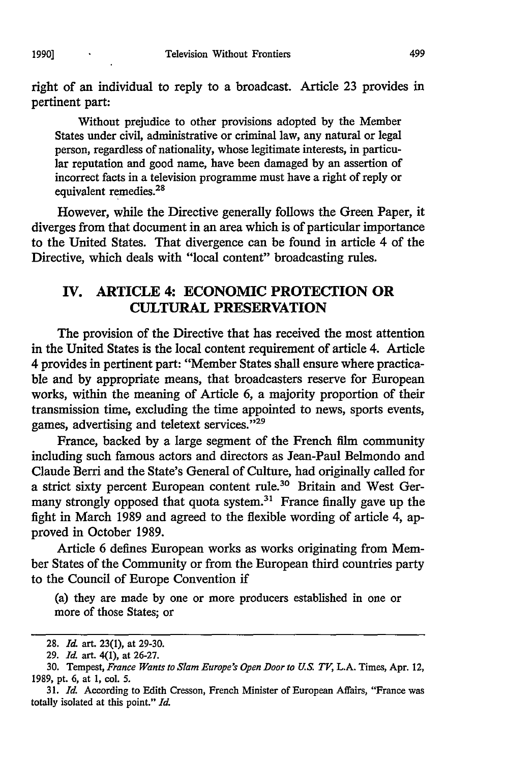right of an individual to reply to a broadcast. Article 23 provides in pertinent part:

Without prejudice to other provisions adopted by the Member States under civil, administrative or criminal law, any natural or legal person, regardless of nationality, whose legitimate interests, in particular reputation and good name, have been damaged by an assertion of incorrect facts in a television programme must have a right of reply or equivalent remedies.28

However, while the Directive generally follows the Green Paper, it diverges from that document in an area which is of particular importance to the United States. That divergence can be found in article 4 of the Directive, which deals with "local content" broadcasting rules.

# **IV. ARTICLE 4: ECONOMIC PROTECTION OR CULTURAL PRESERVATION**

The provision of the Directive that has received the most attention in the United States is the local content requirement of article 4. Article 4 provides in pertinent part: "Member States shall ensure where practicable and **by** appropriate means, that broadcasters reserve for European works, within the meaning of Article **6,** a majority proportion of their transmission time, excluding the time appointed to news, sports events, games, advertising and teletext services."<sup>29</sup>

France, backed **by** a large segment of the French film community including such famous actors and directors as Jean-Paul Belmondo and Claude Berri and the State's General of Culture, had originally called for a strict sixty percent European content rule.30 Britain and West Germany strongly opposed that quota system.<sup>31</sup> France finally gave up the fight in March **1989** and agreed to the flexible wording of article 4, approved in October **1989.**

Article 6 defines European works as works originating from Member States of the Community or from the European third countries party to the Council of Europe Convention if

(a) they are made **by** one or more producers established in one or more of those States; or

**<sup>28.</sup> Id** art. **23(1),** at **29-30.**

**<sup>29.</sup>** *Id* art. 4(l), at **26-27.**

**<sup>30.</sup>** Tempest, *France Wants to Slam Europe's Open Door to U.S. TV,* **L.A.** Times, Apr. 12, **1989,** pt. **6,** at **1,** col. **5.**

*<sup>31.</sup> Id.* According to Edith Cresson, French Minister of European Affairs, "France was totally isolated at this point." *Id.*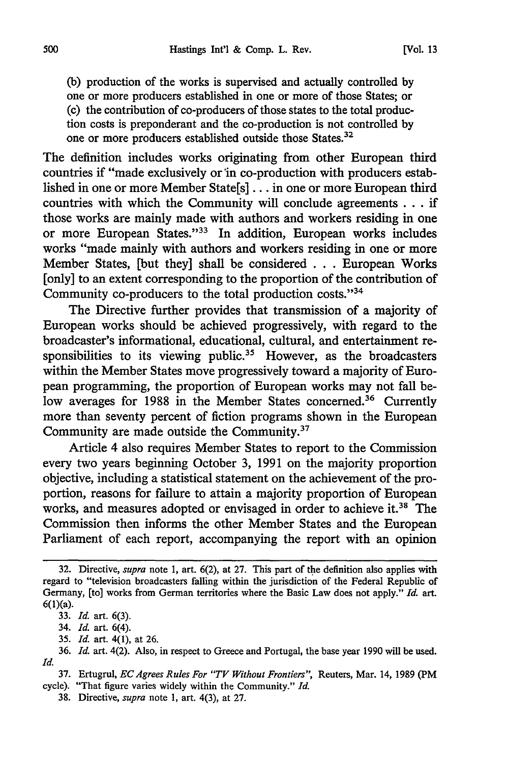**[Vol. 13**

(b) production of the works is supervised and actually controlled **by** one or more producers established in one or more of those States; or (c) the contribution of co-producers of those states to the total production costs is preponderant and the co-production is not controlled by one or more producers established outside those States.<sup>32</sup>

The definition includes works originating from other European third countries if "made exclusively or in co-production with producers established in one or more Member State[s] ... in one or more European third countries with which the Community will conclude agreements. **. .** if those works are mainly made with authors and workers residing in one or more European States."<sup>33</sup> In addition, European works includes works "made mainly with authors and workers residing in one or more Member States, [but they] shall be considered . . . European Works [only] to an extent corresponding to the proportion of the contribution of Community co-producers to the total production costs."<sup>34</sup>

The Directive further provides that transmission of a majority of European works should be achieved progressively, with regard to the broadcaster's informational, educational, cultural, and entertainment responsibilities to its viewing public.<sup>35</sup> However, as the broadcasters within the Member States move progressively toward a majority of European programming, the proportion of European works may not fall below averages for 1988 in the Member States concerned.<sup>36</sup> Currently more than seventy percent of fiction programs shown in the European Community are made outside the Community.37

Article 4 also requires Member States to report to the Commission every two years beginning October 3, 1991 on the majority proportion objective, including a statistical statement on the achievement of the proportion, reasons for failure to attain a majority proportion of European works, and measures adopted or envisaged in order to achieve it.<sup>38</sup> The Commission then informs the other Member States and the European Parliament of each report, accompanying the report with an opinion

<sup>32.</sup> Directive, *supra* note 1, art. 6(2), at 27. This part of the definition also applies with regard to "television broadcasters falling within the jurisdiction of the Federal Republic of Germany, [to] works from German territories where the Basic Law does not apply." *Id.* art. 6(l)(a).

<sup>33.</sup> *Id.* art. 6(3).

<sup>34.</sup> *Id.* art. 6(4).

<sup>35.</sup> *Id.* art. 4(1), at 26.

<sup>36.</sup> *Id.* art. 4(2). Also, in respect to Greece and Portugal, the base year 1990 will be used. *Id.*

<sup>37.</sup> Ertugrul, *ECAgrees Rules For "TV Without Frontiers",* Reuters, Mar. 14, 1989 (PM cycle). "That figure varies widely within the Community." *Id.*

<sup>38.</sup> Directive, *supra* note 1, art. 4(3), at 27.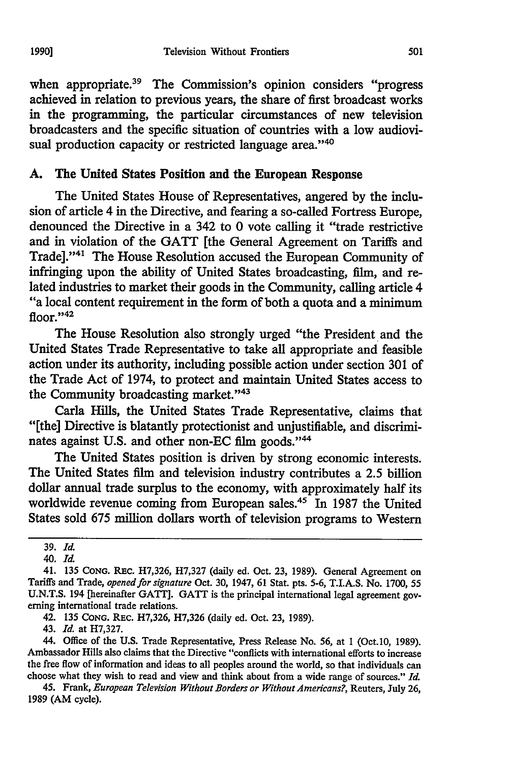when appropriate.<sup>39</sup> The Commission's opinion considers "progress achieved in relation to previous years, the share of first broadcast works in the programming, the particular circumstances of new television broadcasters and the specific situation of countries with a low audiovisual production capacity or restricted language area."<sup>40</sup>

#### **A.** The United States Position and the European Response

The United States House of Representatives, angered by the inclusion of article 4 in the Directive, and fearing a so-called Fortress Europe, denounced the Directive in a 342 to 0 vote calling it "trade restrictive and in violation of the GATT [the General Agreement on Tariffs and Tradel."<sup>41</sup> The House Resolution accused the European Community of infringing upon the ability of United States broadcasting, film, and related industries to market their goods in the Community, calling article 4 "a local content requirement in the form of both a quota and a minimum floor."<sup>42</sup>

The House Resolution also strongly urged "the President and the United States Trade Representative to take all appropriate and feasible action under its authority, including possible action under section 301 of the Trade Act of 1974, to protect and maintain United States access to the Community broadcasting market."<sup>43</sup>

Carla Hills, the United States Trade Representative, claims that "[the] Directive is blatantly protectionist and unjustifiable, and discriminates against U.S. and other non-EC film goods."<sup>44</sup>

The United States position is driven by strong economic interests. The United States film and television industry contributes a 2.5 billion dollar annual trade surplus to the economy, with approximately half its worldwide revenue coming from European sales.<sup>45</sup> In 1987 the United States sold 675 million dollars worth of television programs to Western

43. *Id.* at H7,327.

44. Office of the U.S. Trade Representative, Press Release No. **56,** at I (Oct.10, 1989). Ambassador Hills also claims that the Directive "conflicts with international efforts to increase the free flow of information and ideas to all peoples around the world, so that individuals can choose what they wish to read and view and think about from a wide range of sources." *Id.*

45. Frank, *European Television Without Borders or Without Americans?,* Reuters, July 26, 1989 (AM cycle).

**<sup>39.</sup>** *Id.*

<sup>40.</sup> **Id.**

<sup>41. 135</sup> **CONG.** RFc. H7,326, H7,327 (daily ed. Oct. 23, 1989). General Agreement on Tariffs and Trade, *opened for signature* Oct. 30, 1947, **61** Stat. pts. 5-6, T.I.A.S. No. 1700, 55 U.N.T.S. 194 [hereinafter GATT]. GATT is the principal international legal agreement governing international trade relations.

<sup>42. 135</sup> **CONG.** REc. H7,326, H7,326 (daily ed. Oct. 23, 1989).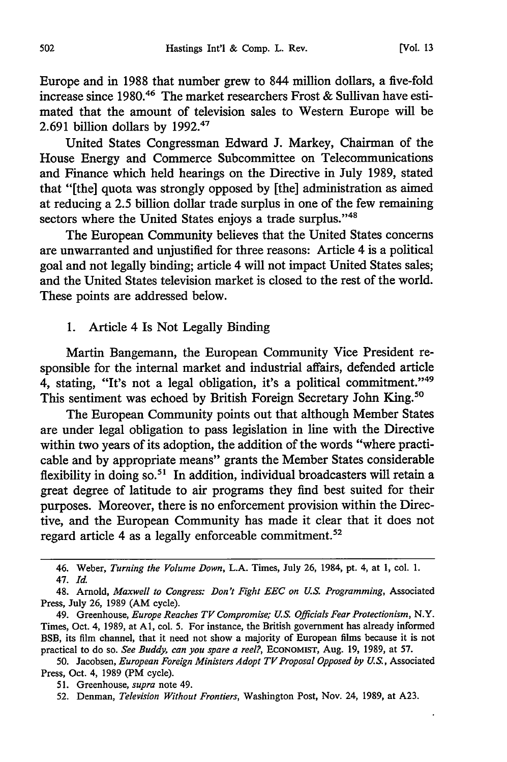Europe and in 1988 that number grew to 844 million dollars, a five-fold increase since 1980.<sup>46</sup> The market researchers Frost & Sullivan have estimated that the amount of television sales to Western Europe will be 2.691 billion dollars by 1992.<sup>47</sup>

United States Congressman Edward J. Markey, Chairman of the House Energy and Commerce Subcommittee on Telecommunications and Finance which held hearings on the Directive in July 1989, stated that "[the] quota was strongly opposed by [the] administration as aimed at reducing a 2.5 billion dollar trade surplus in one of the few remaining sectors where the United States enjoys a trade surplus."<sup>48</sup>

The European Community believes that the United States concerns are unwarranted and unjustified for three reasons: Article 4 is a political goal and not legally binding; article 4 will not impact United States sales; and the United States television market is closed to the rest of the world. These points are addressed below.

1. Article 4 Is Not Legally Binding

Martin Bangemann, the European Community Vice President responsible for the internal market and industrial affairs, defended article 4, stating, "It's not a legal obligation, it's a political commitment."<sup>49</sup> This sentiment was echoed by British Foreign Secretary John King.<sup>50</sup>

The European Community points out that although Member States are under legal obligation to pass legislation in line with the Directive within two years of its adoption, the addition of the words "where practicable and by appropriate means" grants the Member States considerable flexibility in doing so.<sup>51</sup> In addition, individual broadcasters will retain a great degree of latitude to air programs they find best suited for their purposes. Moreover, there is no enforcement provision within the Directive, and the European Community has made it clear that it does not regard article 4 as a legally enforceable commitment.<sup>52</sup>

50. Jacobsen, *European Foreign Ministers Adopt TV Proposal Opposed by U.S.,* Associated Press, Oct. 4, 1989 (PM cycle).

<sup>46.</sup> Weber, *Turning the Volume Down,* L.A. Times, July 26, 1984, pt. 4, at **1,** col. 1. 47. *Id.*

<sup>48.</sup> Arnold, *Maxwell to Congress: Don't Fight EEC on U.S. Programming,* Associated Press, July 26, 1989 (AM cycle).

<sup>49.</sup> Greenhouse, *Europe Reaches TV Compromise; U.S. Officials Fear Protectionism, N.Y.* Times, Oct. 4, 1989, at **Al,** col. 5. For instance, the British government has already informed BSB, its film channel, that it need not show a majority of European films because it is not practical to do so. *See Buddy, can you spare a reel?,* ECONOMIST, Aug. 19, 1989, at 57.

<sup>51.</sup> Greenhouse, *supra* note 49.

<sup>52.</sup> Denman, *Television Without Frontiers,* Washington Post, Nov. 24, 1989, at A23.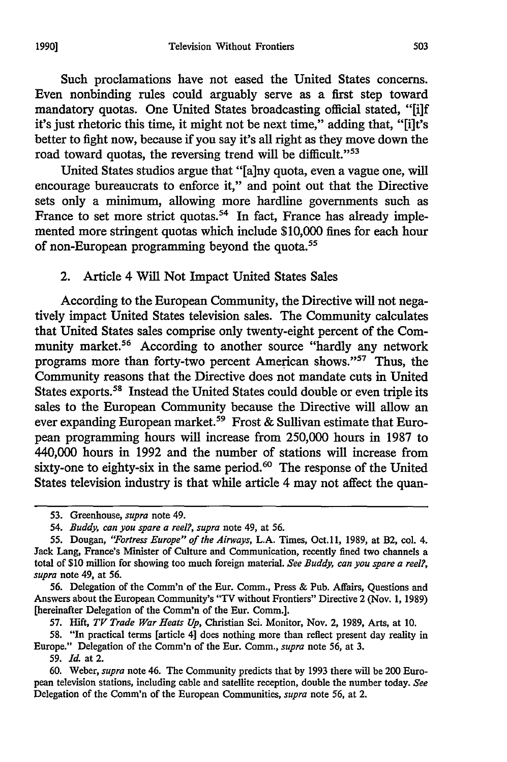Such proclamations have not eased the United States concerns. Even nonbinding rules could arguably serve as a first step toward mandatory quotas. One United States broadcasting official stated, "[i]f it's just rhetoric this time, it might not be next time," adding that, "[i]t's better to fight now, because if you say it's all right as they move down the road toward quotas, the reversing trend will be difficult."<sup>53</sup>

United States studios argue that "[a]ny quota, even a vague one, will encourage bureaucrats to enforce it," and point out that the Directive sets only a minimum, allowing more hardline governments such as France to set more strict quotas.<sup>54</sup> In fact, France has already implemented more stringent quotas which include \$10,000 fines for each hour of non-European programming beyond the quota.<sup>55</sup>

2. Article 4 Will Not Impact United States Sales

According to the European Community, the Directive will not negatively impact United States television sales. The Community calculates that United States sales comprise only twenty-eight percent of the Community market.<sup>56</sup> According to another source "hardly any network programs more than forty-two percent American shows."<sup>57</sup> Thus, the Community reasons that the Directive does not mandate cuts in United States exports.58 Instead the United States could double or even triple its sales to the European Community because the Directive will allow an ever expanding European market.<sup>59</sup> Frost & Sullivan estimate that European programming hours will increase from 250,000 hours in 1987 to 440,000 hours in 1992 and the number of stations will increase from sixty-one to eighty-six in the same period.<sup>60</sup> The response of the United States television industry is that while article 4 may not affect the quan-

56. Delegation of the Comm'n of the Eur. Comm., Press & Pub. Affairs, Questions and Answers about the European Community's "TV without Frontiers" Directive 2 (Nov. 1, 1989) [hereinafter Delegation of the Comm'n of the Eur. Comm.].

57. Hift, TV Trade War Heats Up, Christian Sci. Monitor, Nov. 2, 1989, Arts, at 10.

58. "In practical terms [article 4] does nothing more than reflect present day reality in Europe." Delegation of the Comm'n of the Eur. Comm., *supra* note *56,* at 3.

59. *Id.* at 2.

60. Weber, *supra* note 46. The Community predicts that by 1993 there will be 200 European television stations, including cable and satellite reception, double the number today. *See* Delegation of the Comm'n of the European Communities, *supra* note 56, at 2.

<sup>53.</sup> Greenhouse, *supra* note 49.

<sup>54.</sup> *Buddy, can you spare a reel?, supra* note 49, at 56.

<sup>55.</sup> Dougan, *"Fortress Europe" of the Airways,* L.A. Times, Oct.11, 1989, at B2, col. 4. Jack Lang, France's Minister of Culture and Communication, recently fined two channels a total of \$10 million for showing too much foreign material. *See Buddy, can you spare a reel?, supra* note 49, at 56.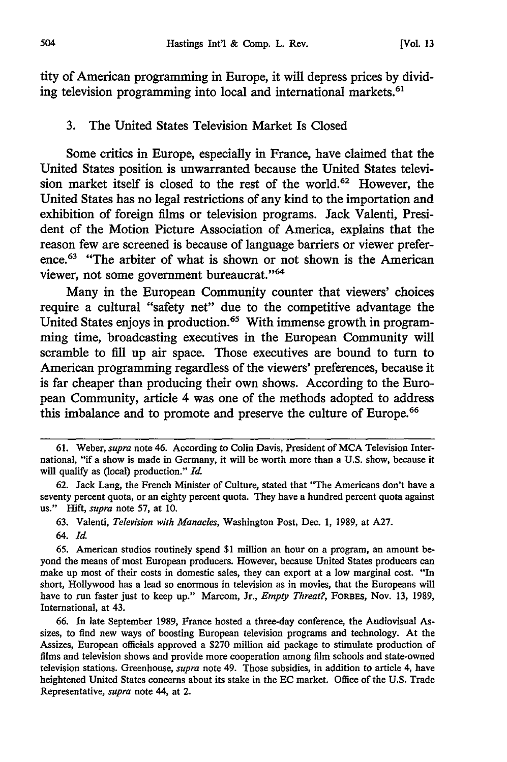tity of American programming in Europe, it will depress prices by dividing television programming into local and international markets.<sup>61</sup>

#### 3. The United States Television Market Is Closed

Some critics in Europe, especially in France, have claimed that the United States position is unwarranted because the United States television market itself is closed to the rest of the world.<sup>62</sup> However, the United States has no legal restrictions of any kind to the importation and exhibition of foreign films or television programs. Jack Valenti, President of the Motion Picture Association of America, explains that the reason few are screened is because of language barriers or viewer preference. $63$  "The arbiter of what is shown or not shown is the American viewer, not some government bureaucrat."<sup>64</sup>

Many in the European Community counter that viewers' choices require a cultural "safety net" due to the competitive advantage the United States enjoys in production.<sup>65</sup> With immense growth in programming time, broadcasting executives in the European Community will scramble to fill up air space. Those executives are bound to turn to American programming regardless of the viewers' preferences, because it is far cheaper than producing their own shows. According to the European Community, article 4 was one of the methods adopted to address this imbalance and to promote and preserve the culture of Europe.<sup>66</sup>

63. Valenti, *Television with Manacles,* Washington Post, Dec. **1,** 1989, at A27.

64. *Id.*

65. American studios routinely spend \$1 million an hour on a program, an amount beyond the means of most European producers. However, because United States producers can make up most of their costs in domestic sales, they can export at a low marginal cost. "In short, Hollywood has a lead so enormous in television as in movies, that the Europeans will have to run faster just to keep up." Marcom, Jr., *Empty Threat?,* FORBES, Nov. 13, 1989, International, at 43.

66. In late September 1989, France hosted a three-day conference, the Audiovisual Assizes, to find new ways of boosting European television programs and technology. At the Assizes, European officials approved a \$270 million aid package to stimulate production of films and television shows and provide more cooperation among film schools and state-owned television stations. Greenhouse, *supra* note 49. Those subsidies, in addition to article 4, have heightened United States concerns about its stake in the EC market. Office of the U.S. Trade Representative, *supra* note 44, at 2.

<sup>61.</sup> Weber, *supra* note 46. According to Colin Davis, President of MCA Television International, "if a show is made in Germany, it will be worth more than a U.S. show, because it will qualify as (local) production." *Id.*

<sup>62.</sup> Jack Lang, the French Minister of Culture, stated that "The Americans don't have a seventy percent quota, or an eighty percent quota. They have a hundred percent quota against us." Hift, *supra* note 57, at 10.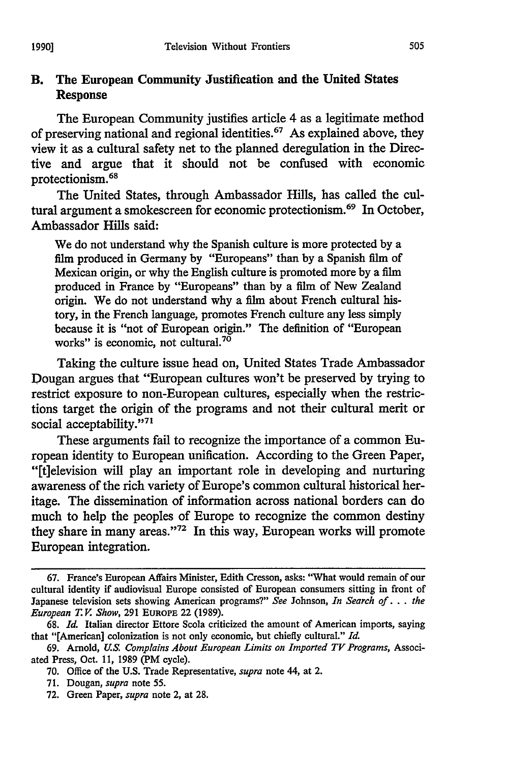### B. The European Community Justification and the United States Response

The European Community justifies article 4 as a legitimate method of preserving national and regional identities.<sup>67</sup> As explained above, they view it as a cultural safety net to the planned deregulation in the Directive and argue that it should not be confused with economic protectionism. <sup>68</sup>

The United States, through Ambassador Hills, has called the cultural argument a smokescreen for economic protectionism. 69 In October, Ambassador Hills said:

We do not understand why the Spanish culture is more protected **by** a film produced in Germany **by** "Europeans" than **by** a Spanish fim of Mexican origin, or why the English culture is promoted more **by** a film produced in France **by** "Europeans" than **by** a film of New Zealand origin. We do not understand why a film about French cultural history, in the French language, promotes French culture any less simply because it is "not of European origin." The definition of "European works" is economic, not cultural.<sup>70</sup>

Taking the culture issue head on, United States Trade Ambassador Dougan argues that "European cultures won't be preserved **by** trying to restrict exposure to non-European cultures, especially when the restrictions target the origin of the programs and not their cultural merit or social acceptability."71

These arguments fail to recognize the importance of a common European identity to European unification. According to the Green Paper, "[ftelevision will play an important role in developing and nurturing awareness of the rich variety of Europe's common cultural historical heritage. The dissemination of information across national borders can do much to help the peoples of Europe to recognize the common destiny they share in many areas."<sup>72</sup> In this way, European works will promote European integration.

**<sup>67.</sup>** France's European Affairs Minister, Edith Cresson, asks: "What would remain of our cultural identity if audiovisual Europe consisted of European consumers sitting in front of Japanese television sets showing American programs?" *See* Johnson, *In Search* **of...** *the European T. V Show,* **291 EUROPE** 22 **(1989).**

**<sup>68.</sup>** *Id.* Italian director Ettore Scola criticized the amount of American imports, saying that "[American] colonization is not only economic, but chiefly cultural." *Id.*

**<sup>69.</sup>** Arnold, *U.S. Complains About European Limits on Imported TV Programs,* Associated Press, Oct. 11, 1989 (PM cycle).

<sup>70.</sup> Office of the U.S. Trade Representative, *supra* note 44, at 2.

<sup>71.</sup> Dougan, *supra* note 55.

<sup>72.</sup> Green Paper, *supra* note 2, at 28.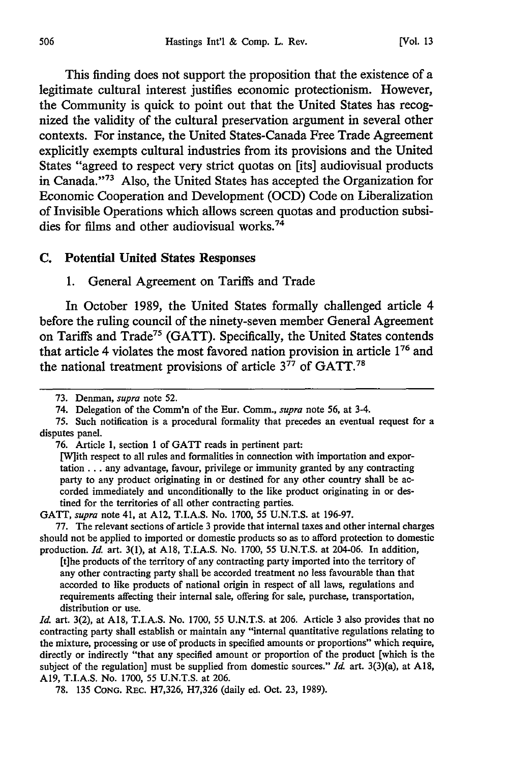This finding does not support the proposition that the existence of a legitimate cultural interest justifies economic protectionism. However, the Community is quick to point out that the United States has recognized the validity of the cultural preservation argument in several other contexts. For instance, the United States-Canada Free Trade Agreement explicitly exempts cultural industries from its provisions and the United States "agreed to respect very strict quotas on [its] audiovisual products in Canada."<sup>73</sup> Also, the United States has accepted the Organization for Economic Cooperation and Development (OCD) Code on Liberalization of Invisible Operations which allows screen quotas and production subsidies for films and other audiovisual works.<sup>74</sup>

#### **C.** Potential United States Responses

1. General Agreement on Tariffs and Trade

In October 1989, the United States formally challenged article 4 before the ruling council of the ninety-seven member General Agreement on Tariffs and Trade75 (GATT). Specifically, the United States contends that article 4 violates the most favored nation provision in article **176** and the national treatment provisions of article  $3^{77}$  of GATT.<sup>78</sup>

76. Article 1, section 1 of GATT reads in pertinent part:

[Wlith respect to all rules and formalities in connection with importation and exportation... any advantage, favour, privilege or immunity granted by any contracting party to any product originating in or destined for any other country shall be accorded immediately and unconditionally to the like product originating in or destined for the territories of all other contracting parties.

GATT, *supra* note 41, at A12, T.I.A.S. No. 1700, 55 U.N.T.S. at 196-97.

77. The relevant sections of article 3 provide that internal taxes and other internal charges should not be applied to imported or domestic products so as to afford protection to domestic production. *Id.* art. 3(1), at A18, T.I.A.S. No. 1700, 55 U.N.T.S. at 204-06. In addition,

[t]he products of the territory of any contracting party imported into the territory of any other contracting party shall be accorded treatment no less favourable than that accorded to like products of national origin in respect of all laws, regulations and requirements affecting their internal sale, offering for sale, purchase, transportation, distribution or use.

*Id.* art. 3(2), at **A18,** T.I.A.S. No. 1700, 55 U.N.T.S. at 206. Article 3 also provides that no contracting party shall establish or maintain any "internal quantitative regulations relating to the mixture, processing or use of products in specified amounts or proportions" which require, directly or indirectly "that any specified amount or proportion of the product [which is the subject of the regulation] must be supplied from domestic sources." *Id.* art. 3(3)(a), at A18, **A19,** T.I.A.S. No. 1700, 55 U.N.T.S. at 206.

78. 135 **CONG.** REc. H7,326, H7,326 (daily ed. Oct. 23, 1989).

<sup>73.</sup> Denman, *supra* note 52.

<sup>74.</sup> Delegation of the Comm'n of the Eur. Comm., *supra* note 56, at 3-4.

<sup>75.</sup> Such notification is a procedural formality that precedes an eventual request for a disputes panel.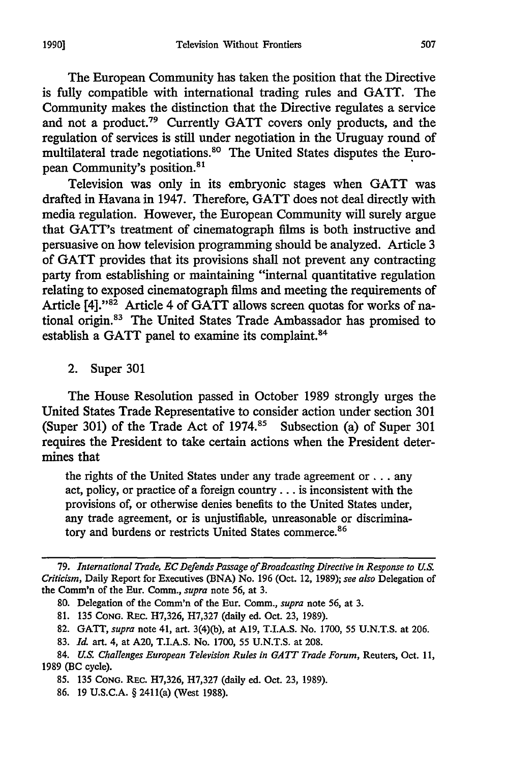The European Community has taken the position that the Directive is fully compatible with international trading rules and GATT. The Community makes the distinction that the Directive regulates a service and not a product.79 Currently GATT covers only products, and the regulation of services is still under negotiation in the Uruguay round of multilateral trade negotiations.<sup>80</sup> The United States disputes the European Community's position.<sup>81</sup>

Television was only in its embryonic stages when GATT was drafted in Havana in 1947. Therefore, GATT does not deal directly with media regulation. However, the European Community will surely argue that GATT's treatment of cinematograph films is both instructive and persuasive on how television programming should be analyzed. Article 3 of GATT provides that its provisions shall not prevent any contracting party from establishing or maintaining "internal quantitative regulation relating to exposed cinematograph films and meeting the requirements of Article [4]. "82 Article 4 of GATT allows screen quotas for works of national origin.13 The United States Trade Ambassador has promised to establish a GATT panel to examine its complaint.<sup>84</sup>

2. Super 301

The House Resolution passed in October 1989 strongly urges the United States Trade Representative to consider action under section 301 (Super 301) of the Trade Act of  $1974$ .<sup>85</sup> Subsection (a) of Super 301 requires the President to take certain actions when the President determines that

the rights of the United States under any trade agreement or **...** any act, policy, or practice of a foreign country... is inconsistent with the provisions of, or otherwise denies benefits to the United States under, any trade agreement, or is unjustifiable, unreasonable or discriminatory and burdens or restricts United States commerce.<sup>86</sup>

*<sup>79.</sup> International Trade, EC Defends Passage of Broadcasting Directive in Response to U.S. Criticism,* Daily Report for Executives (BNA) No. 196 (Oct. 12, 1989); *see* also Delegation of the Comm'n of the Eur. Comm., *supra* note 56, at 3.

<sup>80.</sup> Delegation of the Comm'n of the Eur. Comm., *supra* note 56, at 3.

<sup>81. 135</sup> CONG. REc. H7,326, H7,327 (daily ed. Oct. 23, 1989).

<sup>82.</sup> **GATT,** *supra* note 41, art. 3(4)(b), at A19, T.I.A.S. No. 1700, 55 U.N.T.S. at 206.

<sup>83.</sup> **IId** art. 4, at A20, T.I.A.S. No. 1700, 55 U.N.T.S. at 208.

<sup>84.</sup> *U.S. Challenges European Television Rules in GAYT Trade Forum,* Reuters, Oct. 11, 1989 (BC cycle).

<sup>85. 135</sup> CONG. REc. H7,326, H7,327 (daily ed. Oct. 23, 1989).

<sup>86. 19</sup> U.S.C.A. § 2411(a) (West 1988).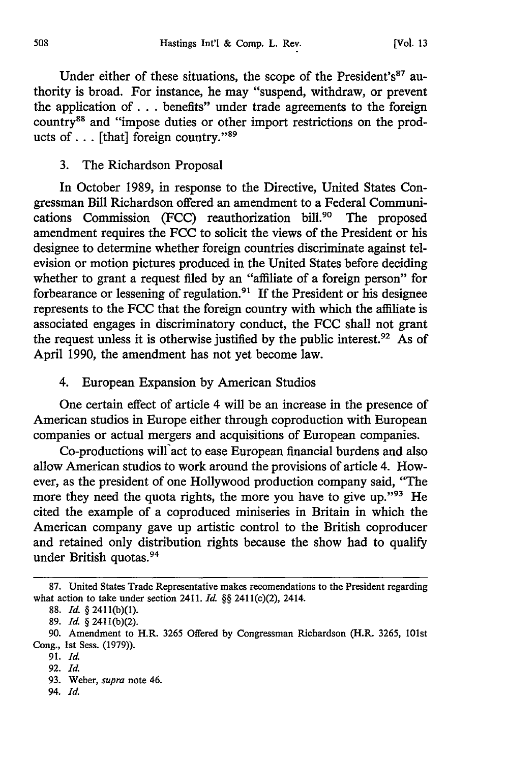Under either of these situations, the scope of the President's<sup>87</sup> authority is broad. For instance, he may "suspend, withdraw, or prevent the application of **...** benefits" under trade agreements to the foreign country<sup>88</sup> and "impose duties or other import restrictions on the products of  $\dots$  [that] foreign country."<sup>89</sup>

#### 3. The Richardson Proposal

In October 1989, in response to the Directive, United States Congressman Bill Richardson offered an amendment to a Federal Communications Commission (FCC) reauthorization bill.<sup>90</sup> The proposed amendment requires the FCC to solicit the views of the President or his designee to determine whether foreign countries discriminate against television or motion pictures produced in the United States before deciding whether to grant a request filed by an "affiliate of a foreign person" for forbearance or lessening of regulation.<sup>91</sup> If the President or his designee represents to the FCC that the foreign country with which the affiliate is associated engages in discriminatory conduct, the FCC shall not grant the request unless it is otherwise justified by the public interest.<sup>92</sup> As of April 1990, the amendment has not yet become law.

#### 4. European Expansion by American Studios

One certain effect of article 4 will be an increase in the presence of American studios in Europe either through coproduction with European companies or actual mergers and acquisitions of European companies.

Co-productions will'act to ease European financial burdens and also allow American studios to work around the provisions of article 4. However, as the president of one Hollywood production company said, "The more they need the quota rights, the more you have to give up." $93$  He cited the example of a coproduced miniseries in Britain in which the American company gave up artistic control to the British coproducer and retained only distribution rights because the show had to qualify under British quotas.<sup>94</sup>

<sup>87.</sup> United States Trade Representative makes recomendations to the President regarding what action to take under section 2411. *Id.* §§ 241 1(c)(2), 2414.

<sup>88.</sup> *Id.* § 241 1(b)(1).

<sup>89.</sup> *Id.* § 2411(b)(2).

<sup>90.</sup> Amendment to H.R. 3265 Offered by Congressman Richardson (H.R. 3265, 101st Cong., 1st Sess. (1979)).

<sup>91.</sup> *Id.*

<sup>92.</sup> *Id.*

<sup>93.</sup> Weber, *supra* note 46.

<sup>94.</sup> *Id.*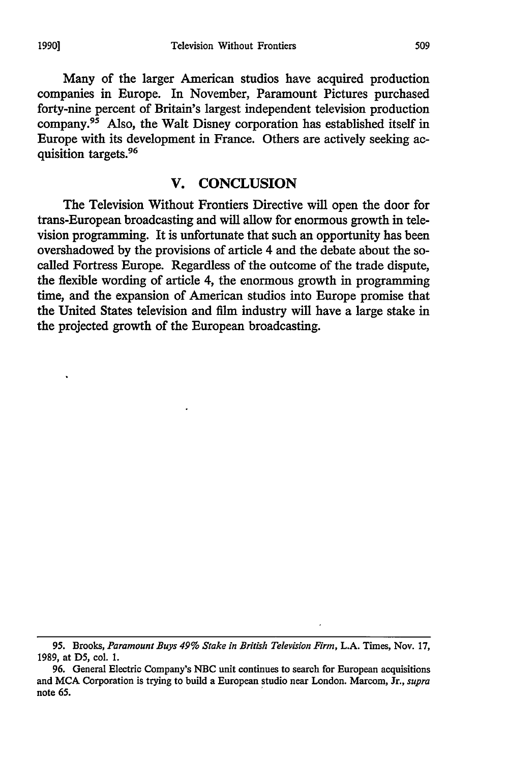Many of the larger American studios have acquired production companies in Europe. In November, Paramount Pictures purchased forty-nine percent of Britain's largest independent television production company.95 Also, the Walt Disney corporation has established itself in Europe with its development in France. Others are actively seeking acquisition targets.<sup>96</sup>

# **V. CONCLUSION**

The Television Without Frontiers Directive will open the door for trans-European broadcasting and will allow for enormous growth in television programming. It is unfortunate that such an opportunity has been overshadowed by the provisions of article 4 and the debate about the socalled Fortress Europe. Regardless of the outcome of the trade dispute, the flexible wording of article 4, the enormous growth in programming time, and the expansion of American studios into Europe promise that the United States television and film industry will have a large stake in the projected growth of the European broadcasting.

**<sup>95.</sup>** Brooks, *Paramount Buys 49% Stake in British Television Firm,* **L.A.** Times, Nov. 17, 1989, at D5, col. 1.

<sup>96.</sup> General Electric Company's NBC unit continues to search for European acquisitions and MCA Corporation is trying to build a European studio near London. Marcom, Jr., *supra* note 65.